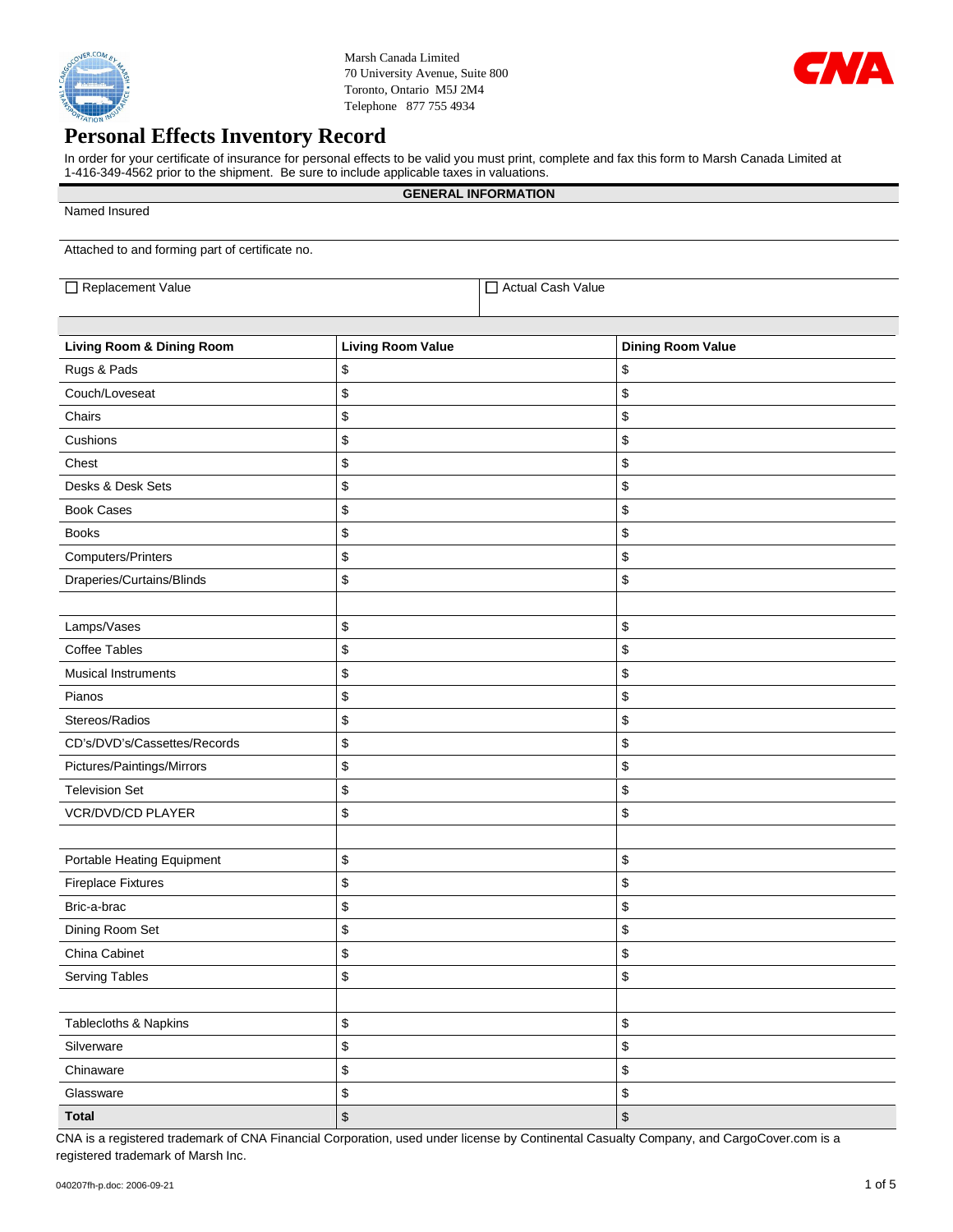

Marsh Canada Limited 70 University Avenue, Suite 800 Toronto, Ontario M5J 2M4 Telephone 877 755 4934



## **Personal Effects Inventory Record**

In order for your certificate of insurance for personal effects to be valid you must print, complete and fax this form to Marsh Canada Limited at 1-416-349-4562 prior to the shipment. Be sure to include applicable taxes in valuations.

|                                                 |                          | <b>GENERAL INFORMATION</b> |                           |
|-------------------------------------------------|--------------------------|----------------------------|---------------------------|
| Named Insured                                   |                          |                            |                           |
| Attached to and forming part of certificate no. |                          |                            |                           |
| Replacement Value                               |                          | Actual Cash Value          |                           |
|                                                 |                          |                            |                           |
| <b>Living Room &amp; Dining Room</b>            | <b>Living Room Value</b> |                            | <b>Dining Room Value</b>  |
| Rugs & Pads                                     | \$                       |                            | \$                        |
| Couch/Loveseat                                  | \$                       |                            | \$                        |
| Chairs                                          | \$                       |                            | \$                        |
| Cushions                                        | \$                       |                            | \$                        |
| Chest                                           | \$                       |                            | \$                        |
| Desks & Desk Sets                               | \$                       |                            | \$                        |
| <b>Book Cases</b>                               | \$                       |                            | \$                        |
| <b>Books</b>                                    | \$                       |                            | \$                        |
| Computers/Printers                              | \$                       |                            | \$                        |
| Draperies/Curtains/Blinds                       | \$                       |                            | \$                        |
|                                                 |                          |                            |                           |
| Lamps/Vases                                     | \$                       |                            | \$                        |
| <b>Coffee Tables</b>                            | \$                       |                            | \$                        |
| <b>Musical Instruments</b>                      | \$                       |                            | \$                        |
| Pianos                                          | \$                       |                            | \$                        |
| Stereos/Radios                                  | \$                       |                            | \$                        |
| CD's/DVD's/Cassettes/Records                    | \$                       |                            | \$                        |
| Pictures/Paintings/Mirrors                      | \$                       |                            | \$                        |
| <b>Television Set</b>                           | \$                       |                            | \$                        |
| VCR/DVD/CD PLAYER                               | \$                       |                            | \$                        |
|                                                 |                          |                            |                           |
| Portable Heating Equipment                      | \$                       |                            | \$                        |
| <b>Fireplace Fixtures</b>                       | \$                       |                            | \$                        |
| Bric-a-brac                                     | \$                       |                            | \$                        |
| Dining Room Set                                 | \$                       |                            | \$                        |
| China Cabinet                                   | \$                       |                            | \$                        |
| <b>Serving Tables</b>                           | \$                       |                            | \$                        |
|                                                 |                          |                            |                           |
| Tablecloths & Napkins                           | \$                       |                            | \$                        |
| Silverware                                      | \$                       |                            | \$                        |
| Chinaware                                       | \$                       |                            | \$                        |
| Glassware                                       | \$                       |                            | \$                        |
| <b>Total</b>                                    | $$\mathfrak{s}$$         |                            | $\boldsymbol{\mathsf{S}}$ |

CNA is a registered trademark of CNA Financial Corporation, used under license by Continental Casualty Company, and CargoCover.com is a registered trademark of Marsh Inc.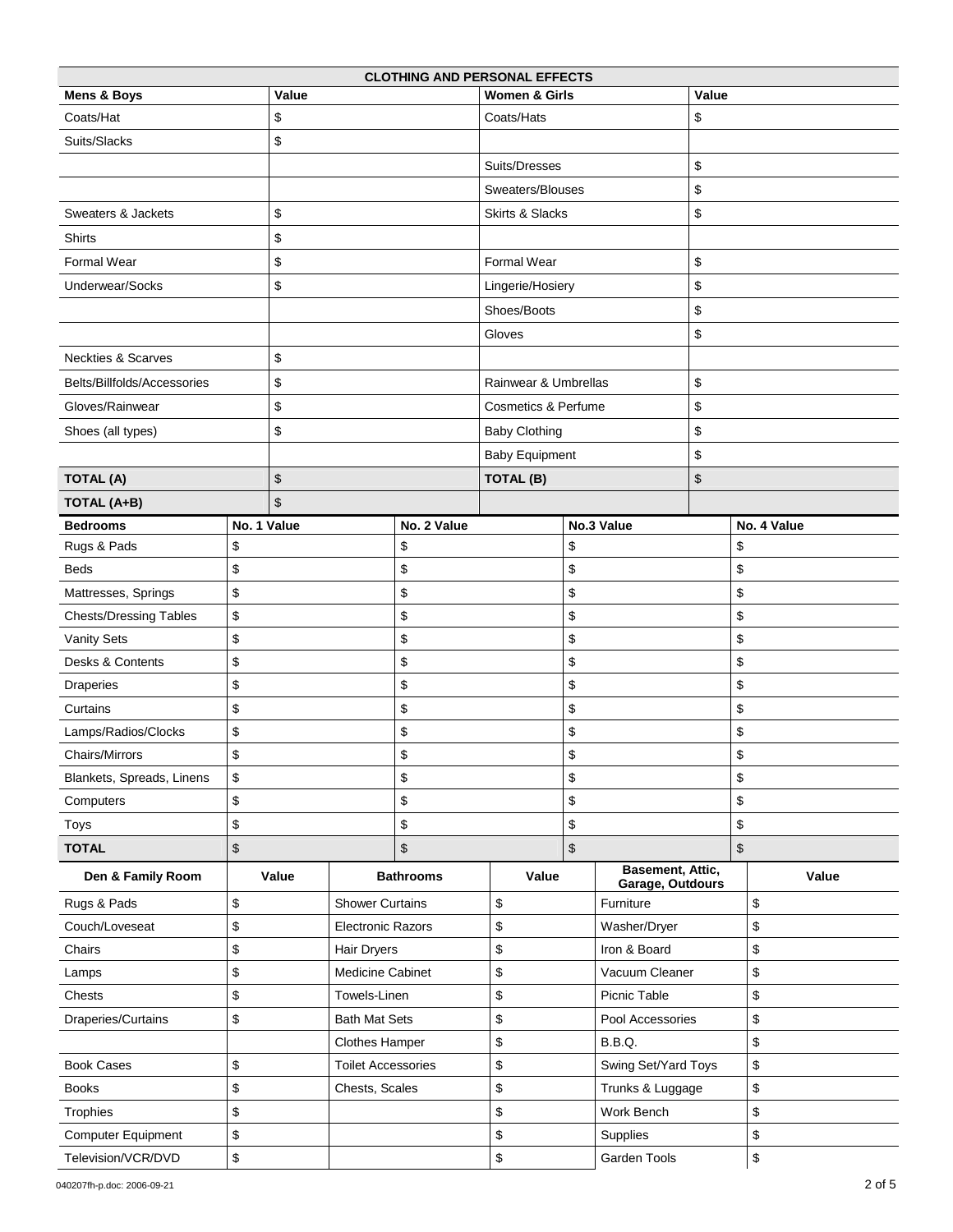| <b>CLOTHING AND PERSONAL EFFECTS</b> |             |                      |                           |                          |                                |    |                  |                                             |             |       |
|--------------------------------------|-------------|----------------------|---------------------------|--------------------------|--------------------------------|----|------------------|---------------------------------------------|-------------|-------|
| <b>Mens &amp; Boys</b>               |             | Value                |                           | <b>Women &amp; Girls</b> |                                |    | Value            |                                             |             |       |
| Coats/Hat                            |             | \$                   |                           | Coats/Hats               |                                |    | \$               |                                             |             |       |
| Suits/Slacks                         |             | \$                   |                           |                          |                                |    |                  |                                             |             |       |
|                                      |             |                      |                           | Suits/Dresses            |                                |    | \$               |                                             |             |       |
|                                      |             |                      |                           |                          | Sweaters/Blouses               |    |                  | \$                                          |             |       |
| Sweaters & Jackets                   |             | \$                   |                           |                          | Skirts & Slacks                |    |                  | \$                                          |             |       |
| Shirts                               |             | \$                   |                           |                          |                                |    |                  |                                             |             |       |
| Formal Wear                          |             | \$                   |                           |                          | Formal Wear                    |    |                  | \$                                          |             |       |
| Underwear/Socks                      |             | \$                   |                           |                          | Lingerie/Hosiery               |    |                  | \$                                          |             |       |
|                                      |             |                      |                           |                          | Shoes/Boots                    |    |                  | \$                                          |             |       |
|                                      |             |                      |                           |                          | Gloves                         |    |                  | \$                                          |             |       |
| <b>Neckties &amp; Scarves</b>        |             | \$                   |                           |                          |                                |    |                  |                                             |             |       |
| Belts/Billfolds/Accessories          |             | \$                   |                           |                          | Rainwear & Umbrellas           |    |                  | \$                                          |             |       |
| Gloves/Rainwear                      |             | \$                   |                           |                          | <b>Cosmetics &amp; Perfume</b> |    |                  | \$                                          |             |       |
| Shoes (all types)                    |             | \$                   |                           |                          | <b>Baby Clothing</b>           |    |                  | \$                                          |             |       |
|                                      |             |                      |                           |                          | <b>Baby Equipment</b>          |    |                  | \$                                          |             |       |
| <b>TOTAL (A)</b>                     |             | \$                   |                           |                          | TOTAL (B)                      |    |                  | \$                                          |             |       |
| TOTAL (A+B)                          |             | \$                   |                           |                          |                                |    |                  |                                             |             |       |
| <b>Bedrooms</b>                      | No. 1 Value |                      | No. 2 Value               |                          | No.3 Value                     |    |                  |                                             | No. 4 Value |       |
| Rugs & Pads                          | \$          |                      |                           | \$                       | \$                             |    |                  | \$                                          |             |       |
| <b>Beds</b>                          | \$          |                      |                           | \$                       | \$                             |    |                  | \$                                          |             |       |
| Mattresses, Springs                  | \$          |                      |                           | \$                       |                                | \$ |                  |                                             | \$          |       |
| <b>Chests/Dressing Tables</b>        | \$          |                      |                           | \$                       |                                | \$ |                  |                                             | \$          |       |
| <b>Vanity Sets</b>                   | \$          |                      |                           | \$                       |                                | \$ |                  |                                             | \$          |       |
| Desks & Contents                     | \$          |                      |                           | \$                       |                                | \$ |                  |                                             | \$          |       |
| Draperies                            | \$          |                      |                           | \$                       |                                | \$ |                  |                                             | \$          |       |
| Curtains                             | \$          |                      |                           | \$                       |                                | \$ |                  |                                             | \$          |       |
| Lamps/Radios/Clocks                  | \$          |                      |                           | \$                       |                                | \$ |                  |                                             | \$          |       |
| <b>Chairs/Mirrors</b>                | \$          |                      |                           | \$                       |                                |    | \$               |                                             | \$          |       |
| Blankets, Spreads, Linens            | \$          |                      |                           | \$                       | \$                             |    |                  | \$                                          |             |       |
| Computers                            | \$          |                      |                           | \$                       | \$                             |    | \$               |                                             |             |       |
| Toys                                 | \$          |                      |                           | \$                       | \$                             |    | \$               |                                             |             |       |
| <b>TOTAL</b>                         | \$          |                      |                           | \$                       | $\sqrt[6]{\frac{1}{2}}$        |    |                  | \$                                          |             |       |
| Den & Family Room                    |             | Value                |                           | <b>Bathrooms</b>         | Value                          |    |                  | <b>Basement, Attic,</b><br>Garage, Outdours |             | Value |
| Rugs & Pads                          | \$          |                      | <b>Shower Curtains</b>    |                          | \$<br>Furniture                |    |                  |                                             | \$          |       |
| Couch/Loveseat                       | \$          |                      | <b>Electronic Razors</b>  |                          | \$                             |    | Washer/Dryer     |                                             |             | \$    |
| Chairs                               | \$          | Hair Dryers          |                           |                          | \$                             |    | Iron & Board     |                                             |             | \$    |
| Lamps                                | \$          | Medicine Cabinet     |                           |                          | \$                             |    | Vacuum Cleaner   |                                             |             | \$    |
| Chests                               | \$          | Towels-Linen         |                           |                          | \$                             |    | Picnic Table     |                                             |             | \$    |
| Draperies/Curtains                   | \$          | <b>Bath Mat Sets</b> |                           | \$<br>Pool Accessories   |                                |    |                  | \$                                          |             |       |
|                                      |             | Clothes Hamper       |                           | \$<br>B.B.Q.             |                                |    |                  | \$                                          |             |       |
| <b>Book Cases</b>                    | \$          |                      | <b>Toilet Accessories</b> |                          | \$<br>Swing Set/Yard Toys      |    |                  |                                             | \$          |       |
| <b>Books</b>                         | \$          |                      | Chests, Scales            |                          | \$                             |    | Trunks & Luggage |                                             |             | \$    |
| Trophies                             | \$          |                      |                           |                          | \$                             |    | Work Bench       |                                             |             | \$    |
| <b>Computer Equipment</b>            | \$          |                      |                           |                          | \$                             |    | \$<br>Supplies   |                                             |             |       |
| Television/VCR/DVD                   | \$          |                      |                           |                          | \$                             |    | Garden Tools     |                                             | \$          |       |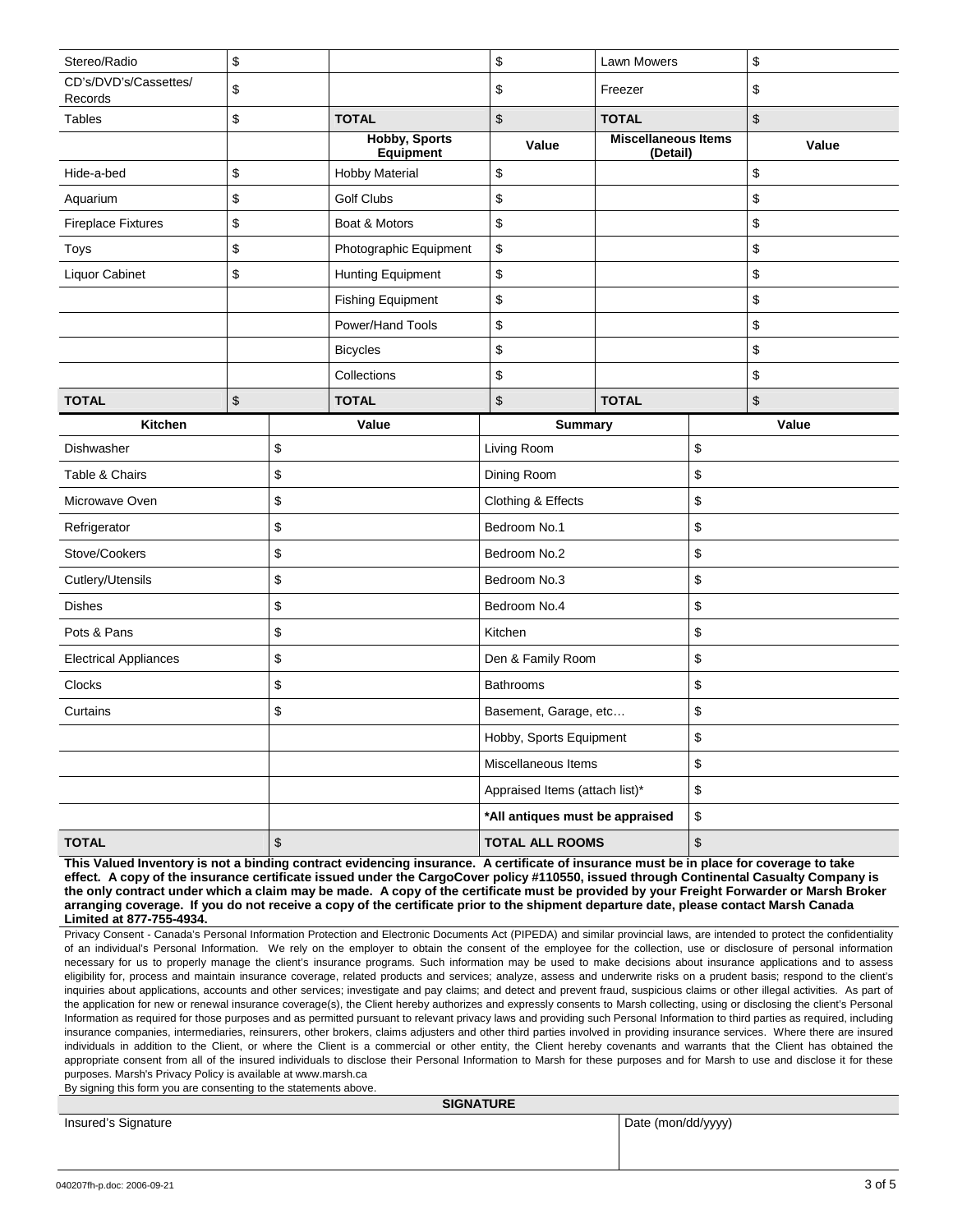| Stereo/Radio                       | \$                |                     |                                          | \$                              | <b>Lawn Mowers</b>                     |       | \$               |
|------------------------------------|-------------------|---------------------|------------------------------------------|---------------------------------|----------------------------------------|-------|------------------|
| CD's/DVD's/Cassettes/<br>Records   | \$                |                     |                                          | \$                              | Freezer                                |       | \$               |
| Tables                             | \$                |                     | <b>TOTAL</b>                             | \$                              | <b>TOTAL</b>                           |       | \$               |
|                                    |                   |                     | <b>Hobby, Sports</b><br><b>Equipment</b> | Value                           | <b>Miscellaneous Items</b><br>(Detail) |       | Value            |
| Hide-a-bed                         | \$                |                     | <b>Hobby Material</b>                    | \$                              |                                        |       | \$               |
| Aquarium                           | \$                |                     | <b>Golf Clubs</b>                        | \$                              |                                        |       | \$               |
| <b>Fireplace Fixtures</b>          | \$                |                     | Boat & Motors                            | \$                              |                                        |       | \$               |
| Toys                               | \$                |                     | Photographic Equipment                   | \$                              |                                        |       | \$               |
| Liquor Cabinet                     | \$                |                     | <b>Hunting Equipment</b>                 | \$                              |                                        |       | \$               |
|                                    |                   |                     | <b>Fishing Equipment</b>                 | \$                              |                                        |       | \$               |
|                                    |                   |                     | Power/Hand Tools                         | \$                              |                                        |       | \$               |
|                                    |                   |                     | <b>Bicycles</b>                          | \$                              |                                        |       | \$               |
|                                    |                   |                     | Collections                              | \$                              |                                        |       | \$               |
| <b>TOTAL</b>                       | \$                |                     | <b>TOTAL</b>                             | \$                              | <b>TOTAL</b>                           |       | $$\mathfrak{S}$$ |
| <b>Kitchen</b>                     |                   |                     | Value                                    | <b>Summary</b>                  |                                        | Value |                  |
| Dishwasher                         |                   | \$                  |                                          | Living Room                     |                                        | \$    |                  |
| Table & Chairs                     |                   | \$                  |                                          | Dining Room                     |                                        | \$    |                  |
| Microwave Oven                     |                   | \$                  |                                          | Clothing & Effects              |                                        | \$    |                  |
| Refrigerator                       |                   | \$                  |                                          | Bedroom No.1                    |                                        | \$    |                  |
| Stove/Cookers                      |                   | \$                  |                                          | Bedroom No.2                    |                                        | \$    |                  |
| Cutlery/Utensils                   |                   | \$                  |                                          | Bedroom No.3                    |                                        | \$    |                  |
| <b>Dishes</b>                      |                   | \$                  |                                          | Bedroom No.4                    |                                        | \$    |                  |
| Pots & Pans                        |                   | \$                  |                                          | Kitchen                         |                                        | \$    |                  |
| \$<br><b>Electrical Appliances</b> |                   |                     | Den & Family Room                        |                                 | \$                                     |       |                  |
| \$<br><b>Clocks</b>                |                   |                     | <b>Bathrooms</b>                         |                                 | \$                                     |       |                  |
| \$<br>Curtains                     |                   |                     | Basement, Garage, etc                    |                                 | \$                                     |       |                  |
|                                    |                   |                     | Hobby, Sports Equipment                  |                                 | \$                                     |       |                  |
|                                    |                   | Miscellaneous Items |                                          | \$                              |                                        |       |                  |
|                                    |                   |                     | Appraised Items (attach list)*           |                                 | \$                                     |       |                  |
|                                    |                   |                     |                                          | *All antiques must be appraised |                                        | \$    |                  |
| <b>TOTAL</b>                       | $\boldsymbol{\$}$ |                     | <b>TOTAL ALL ROOMS</b>                   |                                 | \$                                     |       |                  |
|                                    |                   |                     |                                          |                                 |                                        |       |                  |

**This Valued Inventory is not a binding contract evidencing insurance. A certificate of insurance must be in place for coverage to take effect. A copy of the insurance certificate issued under the CargoCover policy #110550, issued through Continental Casualty Company is the only contract under which a claim may be made. A copy of the certificate must be provided by your Freight Forwarder or Marsh Broker arranging coverage. If you do not receive a copy of the certificate prior to the shipment departure date, please contact Marsh Canada Limited at 877-755-4934.**

Privacy Consent - Canada's Personal Information Protection and Electronic Documents Act (PIPEDA) and similar provincial laws, are intended to protect the confidentiality of an individual's Personal Information. We rely on the employer to obtain the consent of the employee for the collection, use or disclosure of personal information necessary for us to properly manage the client's insurance programs. Such information may be used to make decisions about insurance applications and to assess eligibility for, process and maintain insurance coverage, related products and services; analyze, assess and underwrite risks on a prudent basis; respond to the client's inquiries about applications, accounts and other services; investigate and pay claims; and detect and prevent fraud, suspicious claims or other illegal activities. As part of the application for new or renewal insurance coverage(s), the Client hereby authorizes and expressly consents to Marsh collecting, using or disclosing the client's Personal Information as required for those purposes and as permitted pursuant to relevant privacy laws and providing such Personal Information to third parties as required, including insurance companies, intermediaries, reinsurers, other brokers, claims adjusters and other third parties involved in providing insurance services. Where there are insured individuals in addition to the Client, or where the Client is a commercial or other entity, the Client hereby covenants and warrants that the Client has obtained the appropriate consent from all of the insured individuals to disclose their Personal Information to Marsh for these purposes and for Marsh to use and disclose it for these purposes. Marsh's Privacy Policy is available at www.marsh.ca

By signing this form you are consenting to the statements above.

| <b>SIGNATURE</b> |
|------------------|
|------------------|

|                     | <b>SIGNAIUNE</b>   |
|---------------------|--------------------|
| Insured's Signature | Date (mon/dd/yyyy) |
|                     |                    |
|                     |                    |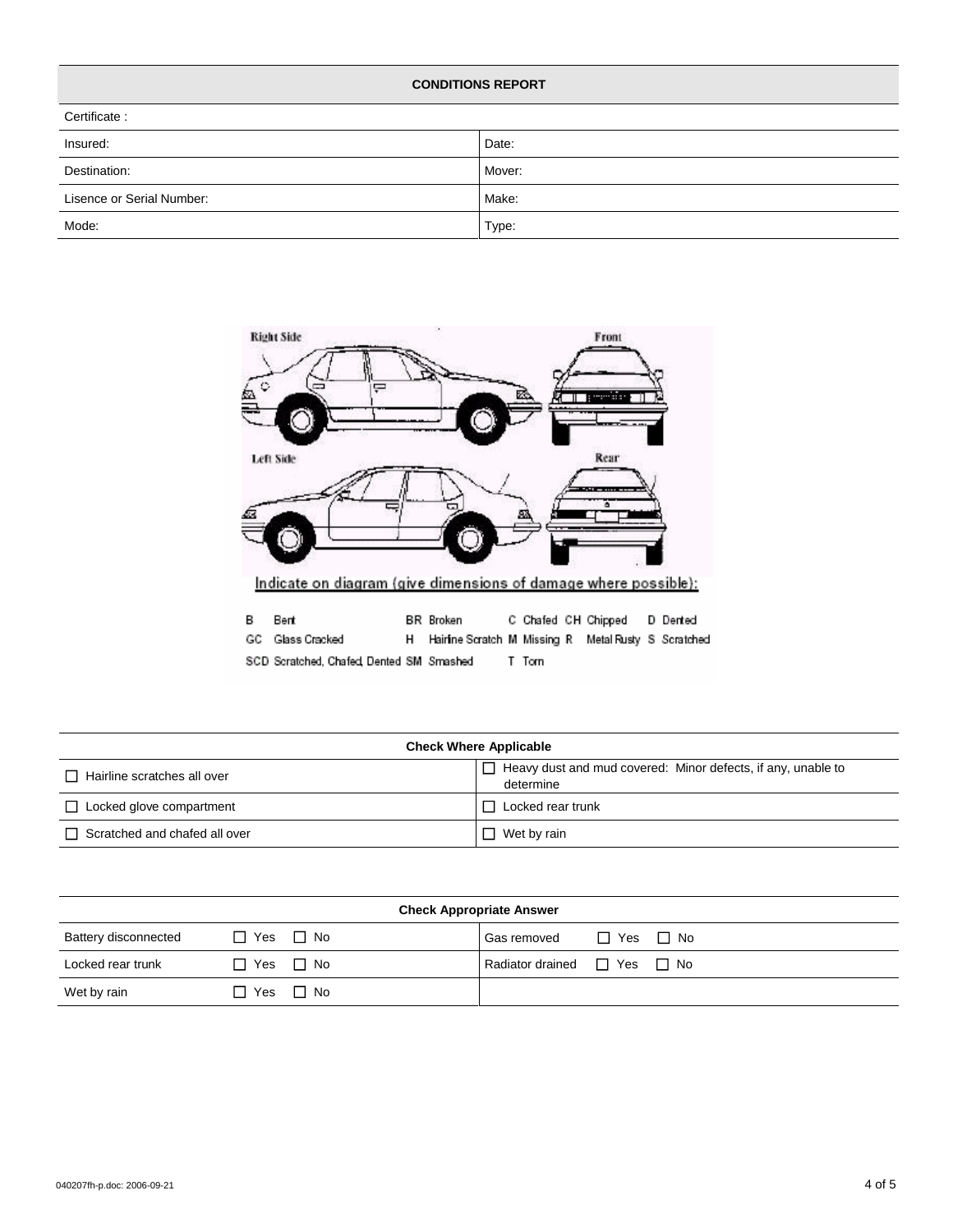| <b>CONDITIONS REPORT</b>  |        |  |  |  |  |  |  |
|---------------------------|--------|--|--|--|--|--|--|
| Certificate:              |        |  |  |  |  |  |  |
| Insured:                  | Date:  |  |  |  |  |  |  |
| Destination:              | Mover: |  |  |  |  |  |  |
| Lisence or Serial Number: | Make:  |  |  |  |  |  |  |
| Mode:                     | Type:  |  |  |  |  |  |  |



| <b>Check Where Applicable</b>        |                                                                                  |  |  |  |  |  |  |
|--------------------------------------|----------------------------------------------------------------------------------|--|--|--|--|--|--|
| Hairline scratches all over          | $\Box$ Heavy dust and mud covered: Minor defects, if any, unable to<br>determine |  |  |  |  |  |  |
| $\Box$ Locked glove compartment      | Locked rear trunk                                                                |  |  |  |  |  |  |
| $\Box$ Scratched and chafed all over | $\Box$ Wet by rain                                                               |  |  |  |  |  |  |

| <b>Check Appropriate Answer</b> |                      |  |                                       |                      |  |  |
|---------------------------------|----------------------|--|---------------------------------------|----------------------|--|--|
| Battery disconnected            | $\Box$ Yes $\Box$ No |  | Gas removed                           | $\Box$ Yes $\Box$ No |  |  |
| Locked rear trunk               | $\Box$ Yes $\Box$ No |  | Radiator drained $\Box$ Yes $\Box$ No |                      |  |  |
| Wet by rain                     | $\Box$ Yes $\Box$ No |  |                                       |                      |  |  |